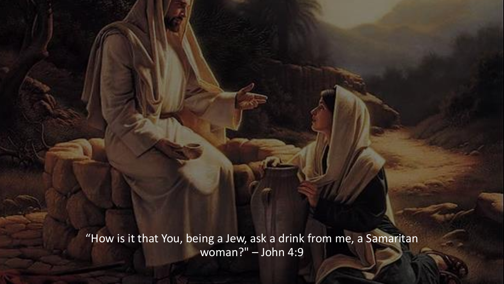"How is it that You, being a Jew, ask a drink from me, a Samaritan woman?" – John 4:9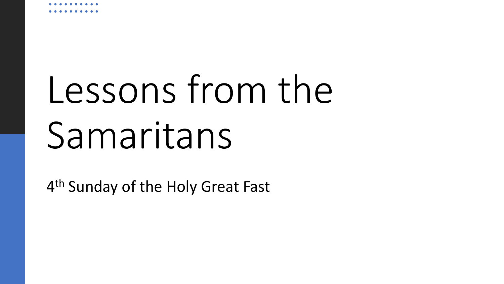# Lessons from the Samaritans

4<sup>th</sup> Sunday of the Holy Great Fast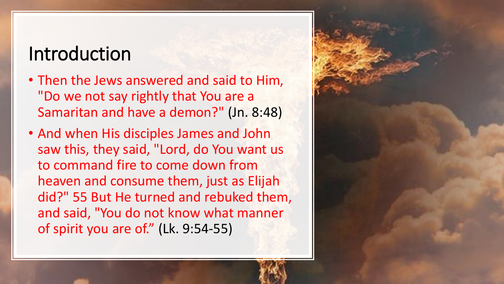#### Introduction

- Then the Jews answered and said to Him, "Do we not say rightly that You are a Samaritan and have a demon?" (Jn. 8:48)
- And when His disciples James and John saw this, they said, "Lord, do You want us to command fire to come down from heaven and consume them, just as Elijah did?" 55 But He turned and rebuked them, and said, "You do not know what manner of spirit you are of." (Lk. 9:54-55)

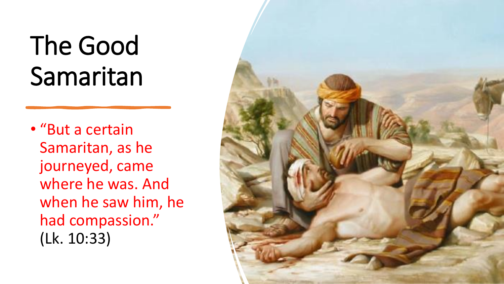# The Good Samaritan

• "But a certain Samaritan, as he journeyed, came where he was. And when he saw him, he had compassion." (Lk. 10:33)

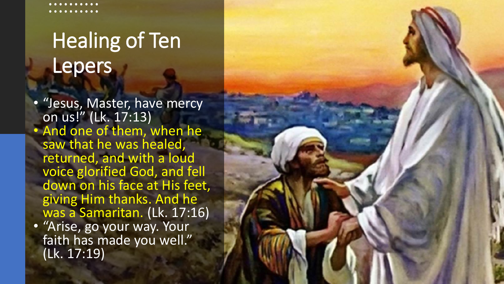## Healing of Ten Lepers

• "Jesus, Master, have mercy on us!" (Lk. 17:13) • And one of them, when he saw that he was healed, returned, and with a loud voice glorified God, and fell down on his face at His feet, giving Him thanks. And he was a Samaritan. (Lk. 17:16) • "Arise, go your way. Your faith has made you well." (Lk. 17:19)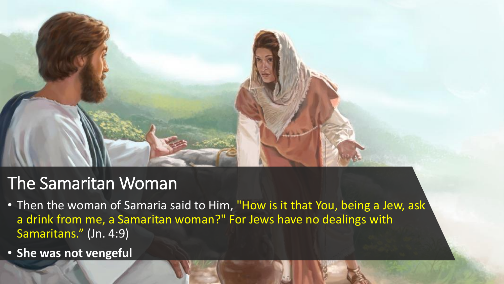

- Then the woman of Samaria said to Him, "How is it that You, being a Jew, ask a drink from me, a Samaritan woman?" For Jews have no dealings with Samaritans." (Jn. 4:9)
- **She was not vengeful**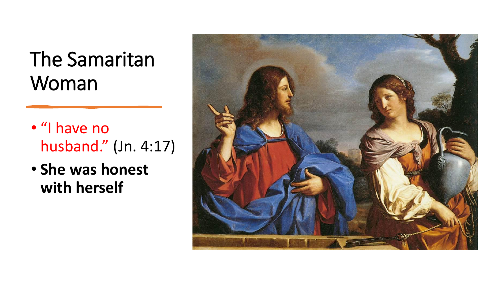- "I have no husband." (Jn. 4:17)
- **She was honest with herself**

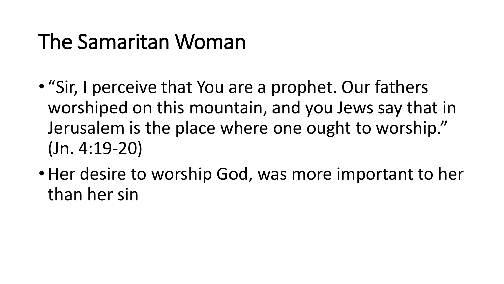- "Sir, I perceive that You are a prophet. Our fathers worshiped on this mountain, and you Jews say that in Jerusalem is the place where one ought to worship." (Jn. 4:19-20)
- Her desire to worship God, was more important to her than her sin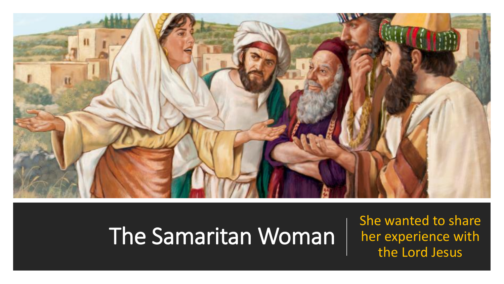

She wanted to share her experience with the Lord Jesus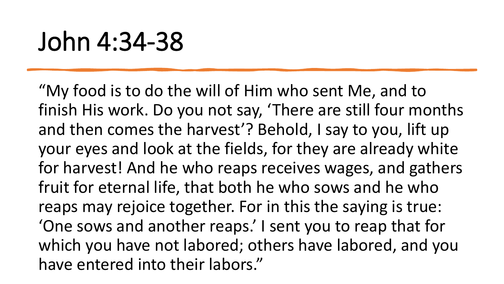## John 4:34-38

"My food is to do the will of Him who sent Me, and to finish His work. Do you not say, 'There are still four months and then comes the harvest'? Behold, I say to you, lift up your eyes and look at the fields, for they are already white for harvest! And he who reaps receives wages, and gathers fruit for eternal life, that both he who sows and he who reaps may rejoice together. For in this the saying is true: 'One sows and another reaps.' I sent you to reap that for which you have not labored; others have labored, and you have entered into their labors."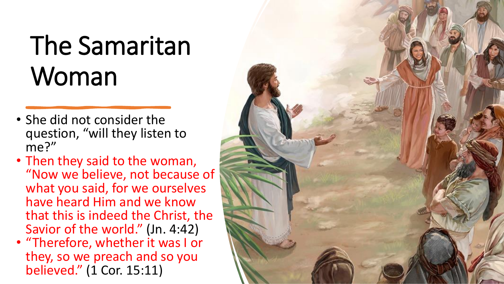- She did not consider the question, "will they listen to me?"
- Then they said to the woman, "Now we believe, not because of what you said, for we ourselves have heard Him and we know that this is indeed the Christ, the Savior of the world." (Jn. 4:42)
- "Therefore, whether it was I or they, so we preach and so you believed." (1 Cor. 15:11)